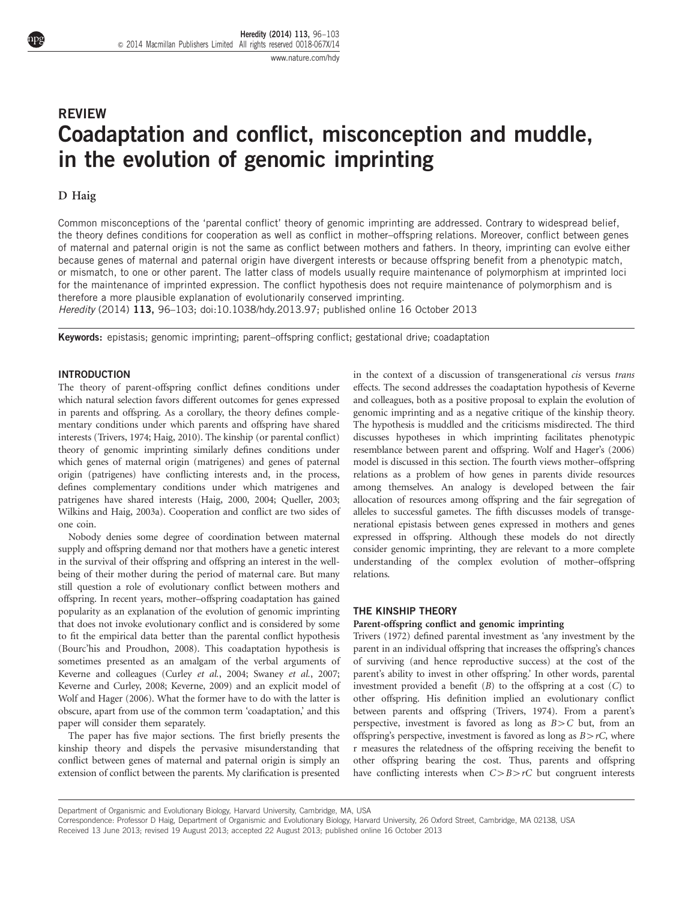# REVIEW Coadaptation and conflict, misconception and muddle, in the evolution of genomic imprinting

# D Haig

Common misconceptions of the 'parental conflict' theory of genomic imprinting are addressed. Contrary to widespread belief, the theory defines conditions for cooperation as well as conflict in mother–offspring relations. Moreover, conflict between genes of maternal and paternal origin is not the same as conflict between mothers and fathers. In theory, imprinting can evolve either because genes of maternal and paternal origin have divergent interests or because offspring benefit from a phenotypic match, or mismatch, to one or other parent. The latter class of models usually require maintenance of polymorphism at imprinted loci for the maintenance of imprinted expression. The conflict hypothesis does not require maintenance of polymorphism and is therefore a more plausible explanation of evolutionarily conserved imprinting.

Heredity (2014) 113, 96–103; doi:[10.1038/hdy.2013.97](http://dx.doi.org/10.1038/hdy.2013.97); published online 16 October 2013

Keywords: epistasis; genomic imprinting; parent–offspring conflict; gestational drive; coadaptation

#### INTRODUCTION

The theory of parent-offspring conflict defines conditions under which natural selection favors different outcomes for genes expressed in parents and offspring. As a corollary, the theory defines complementary conditions under which parents and offspring have shared interests [\(Trivers, 1974](#page-7-0); [Haig, 2010](#page-7-0)). The kinship (or parental conflict) theory of genomic imprinting similarly defines conditions under which genes of maternal origin (matrigenes) and genes of paternal origin (patrigenes) have conflicting interests and, in the process, defines complementary conditions under which matrigenes and patrigenes have shared interests [\(Haig, 2000, 2004](#page-7-0); [Queller, 2003](#page-7-0); [Wilkins and Haig, 2003a\)](#page-7-0). Cooperation and conflict are two sides of one coin.

Nobody denies some degree of coordination between maternal supply and offspring demand nor that mothers have a genetic interest in the survival of their offspring and offspring an interest in the wellbeing of their mother during the period of maternal care. But many still question a role of evolutionary conflict between mothers and offspring. In recent years, mother–offspring coadaptation has gained popularity as an explanation of the evolution of genomic imprinting that does not invoke evolutionary conflict and is considered by some to fit the empirical data better than the parental conflict hypothesis ([Bourc'his and Proudhon, 2008\)](#page-7-0). This coadaptation hypothesis is sometimes presented as an amalgam of the verbal arguments of Keverne and colleagues (Curley et al.[, 2004; Swaney](#page-7-0) et al., 2007; [Keverne and Curley, 2008](#page-7-0); [Keverne, 2009](#page-7-0)) and an explicit model of [Wolf and Hager \(2006\)](#page-7-0). What the former have to do with the latter is obscure, apart from use of the common term 'coadaptation,' and this paper will consider them separately.

The paper has five major sections. The first briefly presents the kinship theory and dispels the pervasive misunderstanding that conflict between genes of maternal and paternal origin is simply an extension of conflict between the parents. My clarification is presented in the context of a discussion of transgenerational cis versus trans effects. The second addresses the coadaptation hypothesis of Keverne and colleagues, both as a positive proposal to explain the evolution of genomic imprinting and as a negative critique of the kinship theory. The hypothesis is muddled and the criticisms misdirected. The third discusses hypotheses in which imprinting facilitates phenotypic resemblance between parent and offspring. [Wolf and Hager's \(2006](#page-7-0)) model is discussed in this section. The fourth views mother–offspring relations as a problem of how genes in parents divide resources among themselves. An analogy is developed between the fair allocation of resources among offspring and the fair segregation of alleles to successful gametes. The fifth discusses models of transgenerational epistasis between genes expressed in mothers and genes expressed in offspring. Although these models do not directly consider genomic imprinting, they are relevant to a more complete understanding of the complex evolution of mother–offspring relations.

#### THE KINSHIP THEORY

#### Parent-offspring conflict and genomic imprinting

[Trivers \(1972](#page-7-0)) defined parental investment as 'any investment by the parent in an individual offspring that increases the offspring's chances of surviving (and hence reproductive success) at the cost of the parent's ability to invest in other offspring.' In other words, parental investment provided a benefit  $(B)$  to the offspring at a cost  $(C)$  to other offspring. His definition implied an evolutionary conflict between parents and offspring [\(Trivers, 1974](#page-7-0)). From a parent's perspective, investment is favored as long as  $B > C$  but, from an offspring's perspective, investment is favored as long as  $B > rC$ , where r measures the relatedness of the offspring receiving the benefit to other offspring bearing the cost. Thus, parents and offspring have conflicting interests when  $C > B > rC$  but congruent interests

Department of Organismic and Evolutionary Biology, Harvard University, Cambridge, MA, USA

Correspondence: Professor D Haig, Department of Organismic and Evolutionary Biology, Harvard University, 26 Oxford Street, Cambridge, MA 02138, USA Received 13 June 2013; revised 19 August 2013; accepted 22 August 2013; published online 16 October 2013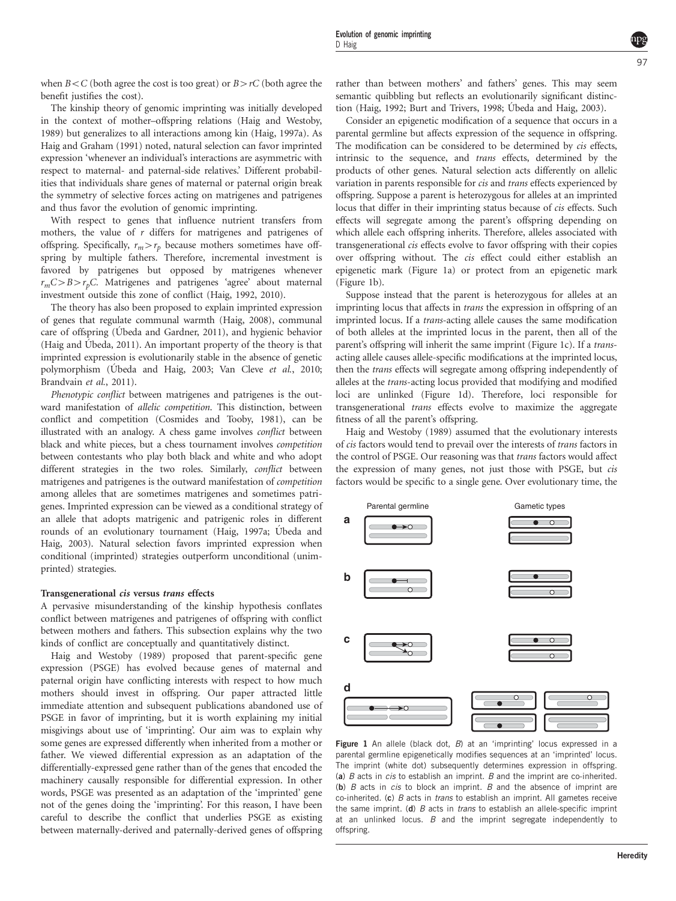<span id="page-1-0"></span>when  $B < C$  (both agree the cost is too great) or  $B > rC$  (both agree the benefit justifies the cost).

The kinship theory of genomic imprinting was initially developed in the context of mother–offspring relations [\(Haig and Westoby,](#page-7-0) [1989\)](#page-7-0) but generalizes to all interactions among kin [\(Haig, 1997a\)](#page-7-0). As [Haig and Graham \(1991](#page-7-0)) noted, natural selection can favor imprinted expression 'whenever an individual's interactions are asymmetric with respect to maternal- and paternal-side relatives.' Different probabilities that individuals share genes of maternal or paternal origin break the symmetry of selective forces acting on matrigenes and patrigenes and thus favor the evolution of genomic imprinting.

With respect to genes that influence nutrient transfers from mothers, the value of r differs for matrigenes and patrigenes of offspring. Specifically,  $r_m > r_p$  because mothers sometimes have offspring by multiple fathers. Therefore, incremental investment is favored by patrigenes but opposed by matrigenes whenever  $r<sub>m</sub>C> B>r<sub>p</sub>C$ . Matrigenes and patrigenes 'agree' about maternal investment outside this zone of conflict [\(Haig, 1992, 2010](#page-7-0)).

The theory has also been proposed to explain imprinted expression of genes that regulate communal warmth ([Haig, 2008](#page-7-0)), communal care of offspring (U[beda and Gardner, 2011\)](#page-7-0), and hygienic behavior (Haig and Úbeda, 2011). An important property of the theory is that imprinted expression is evolutionarily stable in the absence of genetic polymorphism (Ú[beda and Haig, 2003](#page-7-0); [Van Cleve](#page-7-0) et al., 2010; [Brandvain](#page-7-0) et al., 2011).

Phenotypic conflict between matrigenes and patrigenes is the outward manifestation of allelic competition. This distinction, between conflict and competition [\(Cosmides and Tooby, 1981](#page-7-0)), can be illustrated with an analogy. A chess game involves conflict between black and white pieces, but a chess tournament involves competition between contestants who play both black and white and who adopt different strategies in the two roles. Similarly, conflict between matrigenes and patrigenes is the outward manifestation of competition among alleles that are sometimes matrigenes and sometimes patrigenes. Imprinted expression can be viewed as a conditional strategy of an allele that adopts matrigenic and patrigenic roles in different rounds of an evolutionary tournament [\(Haig, 1997a;](#page-7-0) Ú[beda and](#page-7-0) [Haig, 2003](#page-7-0)). Natural selection favors imprinted expression when conditional (imprinted) strategies outperform unconditional (unimprinted) strategies.

## Transgenerational cis versus trans effects

A pervasive misunderstanding of the kinship hypothesis conflates conflict between matrigenes and patrigenes of offspring with conflict between mothers and fathers. This subsection explains why the two kinds of conflict are conceptually and quantitatively distinct.

[Haig and Westoby \(1989](#page-7-0)) proposed that parent-specific gene expression (PSGE) has evolved because genes of maternal and paternal origin have conflicting interests with respect to how much mothers should invest in offspring. Our paper attracted little immediate attention and subsequent publications abandoned use of PSGE in favor of imprinting, but it is worth explaining my initial misgivings about use of 'imprinting'. Our aim was to explain why some genes are expressed differently when inherited from a mother or father. We viewed differential expression as an adaptation of the differentially-expressed gene rather than of the genes that encoded the machinery causally responsible for differential expression. In other words, PSGE was presented as an adaptation of the 'imprinted' gene not of the genes doing the 'imprinting'. For this reason, I have been careful to describe the conflict that underlies PSGE as existing between maternally-derived and paternally-derived genes of offspring rather than between mothers' and fathers' genes. This may seem semantic quibbling but reflects an evolutionarily significant distinc-tion ([Haig, 1992; Burt and Trivers, 1998](#page-7-0); Ú[beda and Haig, 2003](#page-7-0)).

Consider an epigenetic modification of a sequence that occurs in a parental germline but affects expression of the sequence in offspring. The modification can be considered to be determined by *cis* effects, intrinsic to the sequence, and trans effects, determined by the products of other genes. Natural selection acts differently on allelic variation in parents responsible for cis and trans effects experienced by offspring. Suppose a parent is heterozygous for alleles at an imprinted locus that differ in their imprinting status because of cis effects. Such effects will segregate among the parent's offspring depending on which allele each offspring inherits. Therefore, alleles associated with transgenerational cis effects evolve to favor offspring with their copies over offspring without. The cis effect could either establish an epigenetic mark (Figure 1a) or protect from an epigenetic mark (Figure 1b).

Suppose instead that the parent is heterozygous for alleles at an imprinting locus that affects in trans the expression in offspring of an imprinted locus. If a trans-acting allele causes the same modification of both alleles at the imprinted locus in the parent, then all of the parent's offspring will inherit the same imprint (Figure 1c). If a transacting allele causes allele-specific modifications at the imprinted locus, then the trans effects will segregate among offspring independently of alleles at the trans-acting locus provided that modifying and modified loci are unlinked (Figure 1d). Therefore, loci responsible for transgenerational trans effects evolve to maximize the aggregate fitness of all the parent's offspring.

[Haig and Westoby \(1989](#page-7-0)) assumed that the evolutionary interests of cis factors would tend to prevail over the interests of trans factors in the control of PSGE. Our reasoning was that trans factors would affect the expression of many genes, not just those with PSGE, but cis factors would be specific to a single gene. Over evolutionary time, the



Figure 1 An allele (black dot, B) at an 'imprinting' locus expressed in a parental germline epigenetically modifies sequences at an 'imprinted' locus. The imprint (white dot) subsequently determines expression in offspring. (a)  $B$  acts in  $cis$  to establish an imprint.  $B$  and the imprint are co-inherited. (b)  $B$  acts in  $cis$  to block an imprint.  $B$  and the absence of imprint are co-inherited. (c)  $B$  acts in *trans* to establish an imprint. All gametes receive the same imprint. (d)  $B$  acts in *trans* to establish an allele-specific imprint at an unlinked locus.  $B$  and the imprint segregate independently to offspring.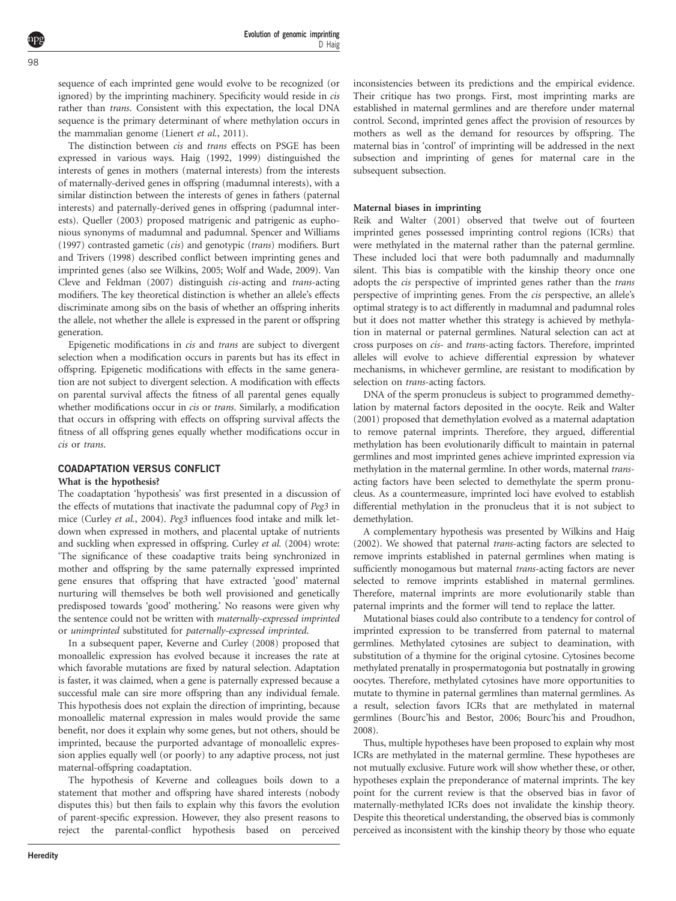sequence of each imprinted gene would evolve to be recognized (or ignored) by the imprinting machinery. Specificity would reside in *cis* rather than trans. Consistent with this expectation, the local DNA sequence is the primary determinant of where methylation occurs in the mammalian genome ([Lienert](#page-7-0) et al., 2011).

The distinction between *cis* and *trans* effects on PSGE has been expressed in various ways. [Haig \(1992, 1999](#page-7-0)) distinguished the interests of genes in mothers (maternal interests) from the interests of maternally-derived genes in offspring (madumnal interests), with a similar distinction between the interests of genes in fathers (paternal interests) and paternally-derived genes in offspring (padumnal interests). [Queller \(2003\)](#page-7-0) proposed matrigenic and patrigenic as euphonious synonyms of madumnal and padumnal. [Spencer and Williams](#page-7-0) [\(1997](#page-7-0)) contrasted gametic (cis) and genotypic (trans) modifiers. [Burt](#page-7-0) [and Trivers \(1998](#page-7-0)) described conflict between imprinting genes and imprinted genes (also see [Wilkins, 2005](#page-7-0); [Wolf and Wade, 2009](#page-7-0)). [Van](#page-7-0) [Cleve and Feldman \(2007](#page-7-0)) distinguish cis-acting and trans-acting modifiers. The key theoretical distinction is whether an allele's effects discriminate among sibs on the basis of whether an offspring inherits the allele, not whether the allele is expressed in the parent or offspring generation.

Epigenetic modifications in cis and trans are subject to divergent selection when a modification occurs in parents but has its effect in offspring. Epigenetic modifications with effects in the same generation are not subject to divergent selection. A modification with effects on parental survival affects the fitness of all parental genes equally whether modifications occur in *cis* or *trans*. Similarly, a modification that occurs in offspring with effects on offspring survival affects the fitness of all offspring genes equally whether modifications occur in cis or trans.

## COADAPTATION VERSUS CONFLICT

### What is the hypothesis?

The coadaptation 'hypothesis' was first presented in a discussion of the effects of mutations that inactivate the padumnal copy of Peg3 in mice ([Curley](#page-7-0) et al., 2004). Peg3 influences food intake and milk letdown when expressed in mothers, and placental uptake of nutrients and suckling when expressed in offspring. [Curley](#page-7-0) et al. (2004) wrote: 'The significance of these coadaptive traits being synchronized in mother and offspring by the same paternally expressed imprinted gene ensures that offspring that have extracted 'good' maternal nurturing will themselves be both well provisioned and genetically predisposed towards 'good' mothering.' No reasons were given why the sentence could not be written with maternally-expressed imprinted or unimprinted substituted for paternally-expressed imprinted.

In a subsequent paper, [Keverne and Curley \(2008](#page-7-0)) proposed that monoallelic expression has evolved because it increases the rate at which favorable mutations are fixed by natural selection. Adaptation is faster, it was claimed, when a gene is paternally expressed because a successful male can sire more offspring than any individual female. This hypothesis does not explain the direction of imprinting, because monoallelic maternal expression in males would provide the same benefit, nor does it explain why some genes, but not others, should be imprinted, because the purported advantage of monoallelic expression applies equally well (or poorly) to any adaptive process, not just maternal-offspring coadaptation.

The hypothesis of Keverne and colleagues boils down to a statement that mother and offspring have shared interests (nobody disputes this) but then fails to explain why this favors the evolution of parent-specific expression. However, they also present reasons to reject the parental-conflict hypothesis based on perceived inconsistencies between its predictions and the empirical evidence. Their critique has two prongs. First, most imprinting marks are established in maternal germlines and are therefore under maternal control. Second, imprinted genes affect the provision of resources by mothers as well as the demand for resources by offspring. The maternal bias in 'control' of imprinting will be addressed in the next subsection and imprinting of genes for maternal care in the subsequent subsection.

#### Maternal biases in imprinting

[Reik and Walter \(2001](#page-7-0)) observed that twelve out of fourteen imprinted genes possessed imprinting control regions (ICRs) that were methylated in the maternal rather than the paternal germline. These included loci that were both padumnally and madumnally silent. This bias is compatible with the kinship theory once one adopts the cis perspective of imprinted genes rather than the trans perspective of imprinting genes. From the cis perspective, an allele's optimal strategy is to act differently in madumnal and padumnal roles but it does not matter whether this strategy is achieved by methylation in maternal or paternal germlines. Natural selection can act at cross purposes on cis- and trans-acting factors. Therefore, imprinted alleles will evolve to achieve differential expression by whatever mechanisms, in whichever germline, are resistant to modification by selection on trans-acting factors.

DNA of the sperm pronucleus is subject to programmed demethylation by maternal factors deposited in the oocyte. [Reik and Walter](#page-7-0) [\(2001](#page-7-0)) proposed that demethylation evolved as a maternal adaptation to remove paternal imprints. Therefore, they argued, differential methylation has been evolutionarily difficult to maintain in paternal germlines and most imprinted genes achieve imprinted expression via methylation in the maternal germline. In other words, maternal transacting factors have been selected to demethylate the sperm pronucleus. As a countermeasure, imprinted loci have evolved to establish differential methylation in the pronucleus that it is not subject to demethylation.

A complementary hypothesis was presented by [Wilkins and Haig](#page-7-0) [\(2002](#page-7-0)). We showed that paternal trans-acting factors are selected to remove imprints established in paternal germlines when mating is sufficiently monogamous but maternal trans-acting factors are never selected to remove imprints established in maternal germlines. Therefore, maternal imprints are more evolutionarily stable than paternal imprints and the former will tend to replace the latter.

Mutational biases could also contribute to a tendency for control of imprinted expression to be transferred from paternal to maternal germlines. Methylated cytosines are subject to deamination, with substitution of a thymine for the original cytosine. Cytosines become methylated prenatally in prospermatogonia but postnatally in growing oocytes. Therefore, methylated cytosines have more opportunities to mutate to thymine in paternal germlines than maternal germlines. As a result, selection favors ICRs that are methylated in maternal germlines [\(Bourc'his and Bestor, 2006; Bourc'his and Proudhon,](#page-7-0) [2008](#page-7-0)).

Thus, multiple hypotheses have been proposed to explain why most ICRs are methylated in the maternal germline. These hypotheses are not mutually exclusive. Future work will show whether these, or other, hypotheses explain the preponderance of maternal imprints. The key point for the current review is that the observed bias in favor of maternally-methylated ICRs does not invalidate the kinship theory. Despite this theoretical understanding, the observed bias is commonly perceived as inconsistent with the kinship theory by those who equate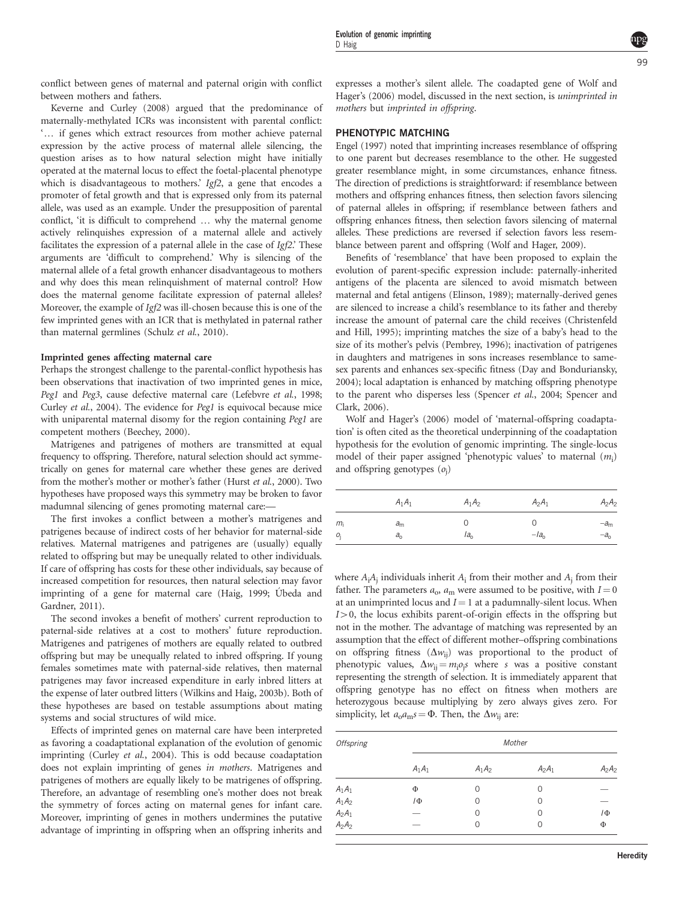conflict between genes of maternal and paternal origin with conflict between mothers and fathers.

[Keverne and Curley \(2008](#page-7-0)) argued that the predominance of maternally-methylated ICRs was inconsistent with parental conflict: '... if genes which extract resources from mother achieve paternal expression by the active process of maternal allele silencing, the question arises as to how natural selection might have initially operated at the maternal locus to effect the foetal-placental phenotype which is disadvantageous to mothers.' Igf2, a gene that encodes a promoter of fetal growth and that is expressed only from its paternal allele, was used as an example. Under the presupposition of parental conflict, 'it is difficult to comprehend ... why the maternal genome actively relinquishes expression of a maternal allele and actively facilitates the expression of a paternal allele in the case of  $Igf2$ . These arguments are 'difficult to comprehend.' Why is silencing of the maternal allele of a fetal growth enhancer disadvantageous to mothers and why does this mean relinquishment of maternal control? How does the maternal genome facilitate expression of paternal alleles? Moreover, the example of Igf2 was ill-chosen because this is one of the few imprinted genes with an ICR that is methylated in paternal rather than maternal germlines [\(Schulz](#page-7-0) et al., 2010).

# Imprinted genes affecting maternal care

Perhaps the strongest challenge to the parental-conflict hypothesis has been observations that inactivation of two imprinted genes in mice, Peg1 and Peg3, cause defective maternal care [\(Lefebvre](#page-7-0) et al., 1998; [Curley](#page-7-0) et al., 2004). The evidence for Peg1 is equivocal because mice with uniparental maternal disomy for the region containing Peg1 are competent mothers [\(Beechey, 2000](#page-6-0)).

Matrigenes and patrigenes of mothers are transmitted at equal frequency to offspring. Therefore, natural selection should act symmetrically on genes for maternal care whether these genes are derived from the mother's mother or mother's father (Hurst et al.[, 2000](#page-7-0)). Two hypotheses have proposed ways this symmetry may be broken to favor madumnal silencing of genes promoting maternal care:—

The first invokes a conflict between a mother's matrigenes and patrigenes because of indirect costs of her behavior for maternal-side relatives. Maternal matrigenes and patrigenes are (usually) equally related to offspring but may be unequally related to other individuals. If care of offspring has costs for these other individuals, say because of increased competition for resources, then natural selection may favor imprinting of a gene for maternal care ([Haig, 1999;](#page-7-0) Ú[beda and](#page-7-0) [Gardner, 2011\)](#page-7-0).

The second invokes a benefit of mothers' current reproduction to paternal-side relatives at a cost to mothers' future reproduction. Matrigenes and patrigenes of mothers are equally related to outbred offspring but may be unequally related to inbred offspring. If young females sometimes mate with paternal-side relatives, then maternal patrigenes may favor increased expenditure in early inbred litters at the expense of later outbred litters ([Wilkins and Haig, 2003b\)](#page-7-0). Both of these hypotheses are based on testable assumptions about mating systems and social structures of wild mice.

Effects of imprinted genes on maternal care have been interpreted as favoring a coadaptational explanation of the evolution of genomic imprinting ([Curley](#page-7-0) et al., 2004). This is odd because coadaptation does not explain imprinting of genes in mothers. Matrigenes and patrigenes of mothers are equally likely to be matrigenes of offspring. Therefore, an advantage of resembling one's mother does not break the symmetry of forces acting on maternal genes for infant care. Moreover, imprinting of genes in mothers undermines the putative advantage of imprinting in offspring when an offspring inherits and expresses a mother's silent allele. The coadapted gene of [Wolf and](#page-7-0) [Hager's \(2006\)](#page-7-0) model, discussed in the next section, is unimprinted in mothers but imprinted in offspring.

#### PHENOTYPIC MATCHING

[Engel \(1997\)](#page-7-0) noted that imprinting increases resemblance of offspring to one parent but decreases resemblance to the other. He suggested greater resemblance might, in some circumstances, enhance fitness. The direction of predictions is straightforward: if resemblance between mothers and offspring enhances fitness, then selection favors silencing of paternal alleles in offspring; if resemblance between fathers and offspring enhances fitness, then selection favors silencing of maternal alleles. These predictions are reversed if selection favors less resemblance between parent and offspring [\(Wolf and Hager, 2009](#page-7-0)).

Benefits of 'resemblance' that have been proposed to explain the evolution of parent-specific expression include: paternally-inherited antigens of the placenta are silenced to avoid mismatch between maternal and fetal antigens [\(Elinson, 1989](#page-7-0)); maternally-derived genes are silenced to increase a child's resemblance to its father and thereby increase the amount of paternal care the child receives ([Christenfeld](#page-7-0) [and Hill, 1995\)](#page-7-0); imprinting matches the size of a baby's head to the size of its mother's pelvis ([Pembrey, 1996\)](#page-7-0); inactivation of patrigenes in daughters and matrigenes in sons increases resemblance to samesex parents and enhances sex-specific fitness [\(Day and Bonduriansky,](#page-7-0) [2004\)](#page-7-0); local adaptation is enhanced by matching offspring phenotype to the parent who disperses less [\(Spencer](#page-7-0) et al., 2004; [Spencer and](#page-7-0) [Clark, 2006](#page-7-0)).

[Wolf and Hager's \(2006\)](#page-7-0) model of 'maternal-offspring coadaptation' is often cited as the theoretical underpinning of the coadaptation hypothesis for the evolution of genomic imprinting. The single-locus model of their paper assigned 'phenotypic values' to maternal  $(m_i)$ and offspring genotypes  $(o_j)$ 

|                         | $A_1A_1$                  | $A_1A_2$ | $A_2A_1$ | $A_2A_2$         |
|-------------------------|---------------------------|----------|----------|------------------|
| $m_i$<br>O <sub>i</sub> | $a_{m}$<br>a <sub>0</sub> | $a_0$    | $-la_0$  | $-a_m$<br>$-a_0$ |

where  $A_iA_j$  individuals inherit  $A_j$  from their mother and  $A_j$  from their father. The parameters  $a_0$ ,  $a_m$  were assumed to be positive, with  $I = 0$ at an unimprinted locus and  $I = 1$  at a padumnally-silent locus. When  $I>0$ , the locus exhibits parent-of-origin effects in the offspring but not in the mother. The advantage of matching was represented by an assumption that the effect of different mother–offspring combinations on offspring fitness  $(\Delta w_{ii})$  was proportional to the product of phenotypic values,  $\Delta w_{ij} = m_i o_j s$  where s was a positive constant representing the strength of selection. It is immediately apparent that offspring genotype has no effect on fitness when mothers are heterozygous because multiplying by zero always gives zero. For simplicity, let  $a_0a_m s = \Phi$ . Then, the  $\Delta w_{ii}$  are:

| <b>Offspring</b>                               | Mother   |          |          |          |  |
|------------------------------------------------|----------|----------|----------|----------|--|
|                                                | $A_1A_1$ | $A_1A_2$ | $A_2A_1$ | $A_2A_2$ |  |
| $A_1A_1$                                       | Φ        | 0        | $\Omega$ |          |  |
| $A_1A_2$                                       | $\phi$   | 0        | 0        |          |  |
|                                                |          | 0        | $\Omega$ | $\phi$   |  |
| $\begin{array}{c} A_2A_1\\ A_2A_2 \end{array}$ |          | 0        | $\Omega$ | Φ        |  |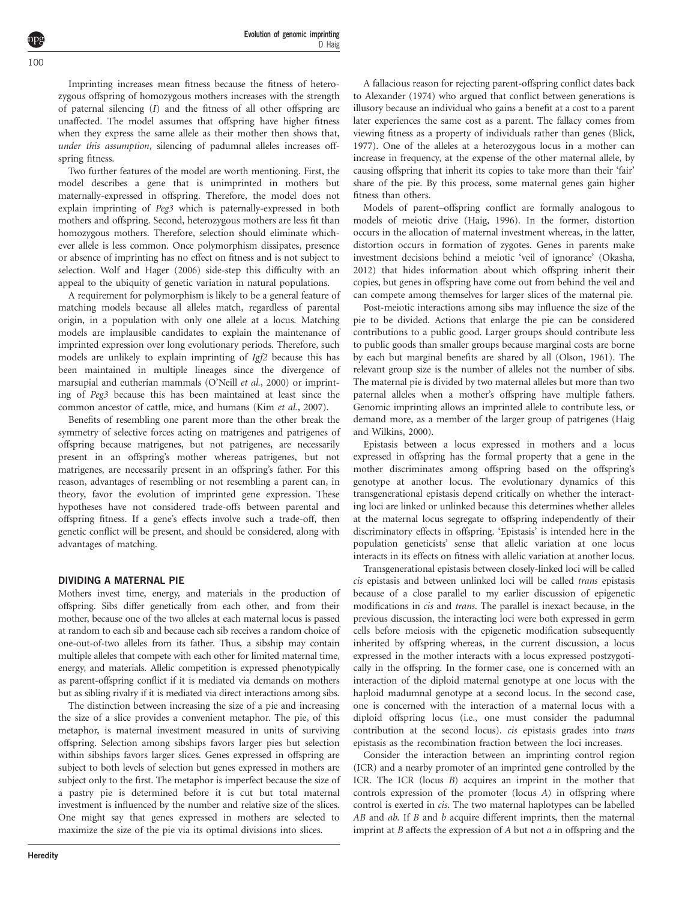Imprinting increases mean fitness because the fitness of heterozygous offspring of homozygous mothers increases with the strength of paternal silencing  $(I)$  and the fitness of all other offspring are unaffected. The model assumes that offspring have higher fitness when they express the same allele as their mother then shows that, under this assumption, silencing of padumnal alleles increases offspring fitness.

Two further features of the model are worth mentioning. First, the model describes a gene that is unimprinted in mothers but maternally-expressed in offspring. Therefore, the model does not explain imprinting of Peg3 which is paternally-expressed in both mothers and offspring. Second, heterozygous mothers are less fit than homozygous mothers. Therefore, selection should eliminate whichever allele is less common. Once polymorphism dissipates, presence or absence of imprinting has no effect on fitness and is not subject to selection. [Wolf and Hager \(2006\)](#page-7-0) side-step this difficulty with an appeal to the ubiquity of genetic variation in natural populations.

A requirement for polymorphism is likely to be a general feature of matching models because all alleles match, regardless of parental origin, in a population with only one allele at a locus. Matching models are implausible candidates to explain the maintenance of imprinted expression over long evolutionary periods. Therefore, such models are unlikely to explain imprinting of Igf2 because this has been maintained in multiple lineages since the divergence of marsupial and eutherian mammals ([O'Neill](#page-7-0) et al., 2000) or imprinting of Peg3 because this has been maintained at least since the common ancestor of cattle, mice, and humans (Kim et al.[, 2007](#page-7-0)).

Benefits of resembling one parent more than the other break the symmetry of selective forces acting on matrigenes and patrigenes of offspring because matrigenes, but not patrigenes, are necessarily present in an offspring's mother whereas patrigenes, but not matrigenes, are necessarily present in an offspring's father. For this reason, advantages of resembling or not resembling a parent can, in theory, favor the evolution of imprinted gene expression. These hypotheses have not considered trade-offs between parental and offspring fitness. If a gene's effects involve such a trade-off, then genetic conflict will be present, and should be considered, along with advantages of matching.

## DIVIDING A MATERNAL PIE

Mothers invest time, energy, and materials in the production of offspring. Sibs differ genetically from each other, and from their mother, because one of the two alleles at each maternal locus is passed at random to each sib and because each sib receives a random choice of one-out-of-two alleles from its father. Thus, a sibship may contain multiple alleles that compete with each other for limited maternal time, energy, and materials. Allelic competition is expressed phenotypically as parent-offspring conflict if it is mediated via demands on mothers but as sibling rivalry if it is mediated via direct interactions among sibs.

The distinction between increasing the size of a pie and increasing the size of a slice provides a convenient metaphor. The pie, of this metaphor, is maternal investment measured in units of surviving offspring. Selection among sibships favors larger pies but selection within sibships favors larger slices. Genes expressed in offspring are subject to both levels of selection but genes expressed in mothers are subject only to the first. The metaphor is imperfect because the size of a pastry pie is determined before it is cut but total maternal investment is influenced by the number and relative size of the slices. One might say that genes expressed in mothers are selected to maximize the size of the pie via its optimal divisions into slices.

A fallacious reason for rejecting parent-offspring conflict dates back to [Alexander \(1974](#page-6-0)) who argued that conflict between generations is illusory because an individual who gains a benefit at a cost to a parent later experiences the same cost as a parent. The fallacy comes from viewing fitness as a property of individuals rather than genes ([Blick,](#page-6-0) [1977](#page-6-0)). One of the alleles at a heterozygous locus in a mother can increase in frequency, at the expense of the other maternal allele, by causing offspring that inherit its copies to take more than their 'fair' share of the pie. By this process, some maternal genes gain higher fitness than others.

Models of parent–offspring conflict are formally analogous to models of meiotic drive [\(Haig, 1996](#page-7-0)). In the former, distortion occurs in the allocation of maternal investment whereas, in the latter, distortion occurs in formation of zygotes. Genes in parents make investment decisions behind a meiotic 'veil of ignorance' [\(Okasha,](#page-7-0) [2012](#page-7-0)) that hides information about which offspring inherit their copies, but genes in offspring have come out from behind the veil and can compete among themselves for larger slices of the maternal pie.

Post-meiotic interactions among sibs may influence the size of the pie to be divided. Actions that enlarge the pie can be considered contributions to a public good. Larger groups should contribute less to public goods than smaller groups because marginal costs are borne by each but marginal benefits are shared by all ([Olson, 1961\)](#page-7-0). The relevant group size is the number of alleles not the number of sibs. The maternal pie is divided by two maternal alleles but more than two paternal alleles when a mother's offspring have multiple fathers. Genomic imprinting allows an imprinted allele to contribute less, or demand more, as a member of the larger group of patrigenes [\(Haig](#page-7-0) [and Wilkins, 2000\)](#page-7-0).

Epistasis between a locus expressed in mothers and a locus expressed in offspring has the formal property that a gene in the mother discriminates among offspring based on the offspring's genotype at another locus. The evolutionary dynamics of this transgenerational epistasis depend critically on whether the interacting loci are linked or unlinked because this determines whether alleles at the maternal locus segregate to offspring independently of their discriminatory effects in offspring. 'Epistasis' is intended here in the population geneticists' sense that allelic variation at one locus interacts in its effects on fitness with allelic variation at another locus.

Transgenerational epistasis between closely-linked loci will be called cis epistasis and between unlinked loci will be called trans epistasis because of a close parallel to my earlier discussion of epigenetic modifications in cis and trans. The parallel is inexact because, in the previous discussion, the interacting loci were both expressed in germ cells before meiosis with the epigenetic modification subsequently inherited by offspring whereas, in the current discussion, a locus expressed in the mother interacts with a locus expressed postzygotically in the offspring. In the former case, one is concerned with an interaction of the diploid maternal genotype at one locus with the haploid madumnal genotype at a second locus. In the second case, one is concerned with the interaction of a maternal locus with a diploid offspring locus (i.e., one must consider the padumnal contribution at the second locus). cis epistasis grades into trans epistasis as the recombination fraction between the loci increases.

Consider the interaction between an imprinting control region (ICR) and a nearby promoter of an imprinted gene controlled by the ICR. The ICR (locus B) acquires an imprint in the mother that controls expression of the promoter (locus A) in offspring where control is exerted in cis. The two maternal haplotypes can be labelled AB and ab. If B and b acquire different imprints, then the maternal imprint at  $B$  affects the expression of  $A$  but not  $a$  in offspring and the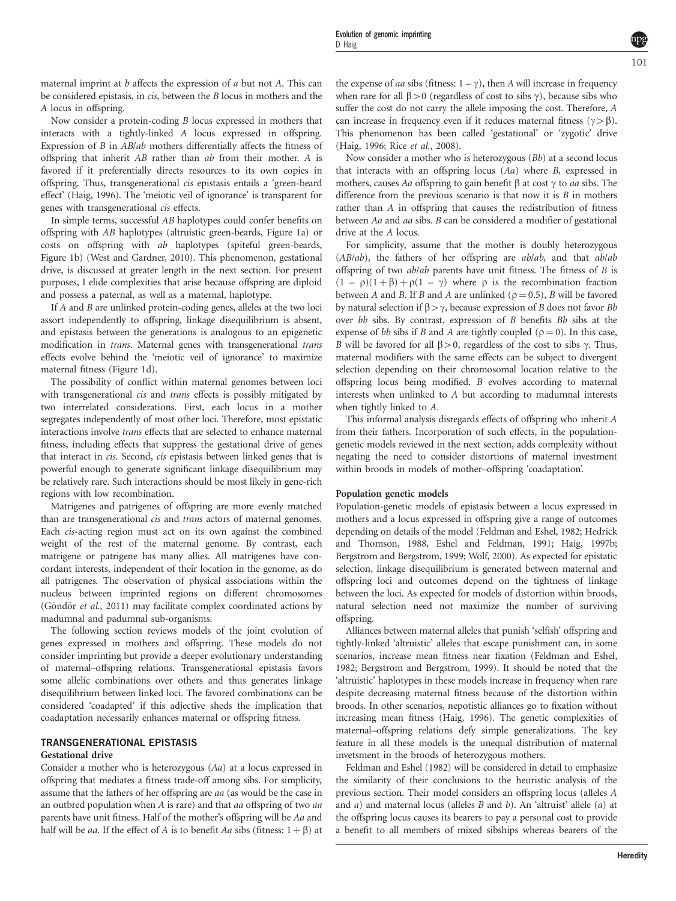maternal imprint at b affects the expression of a but not A. This can be considered epistasis, in cis, between the B locus in mothers and the A locus in offspring.

Now consider a protein-coding B locus expressed in mothers that interacts with a tightly-linked A locus expressed in offspring. Expression of B in AB/ab mothers differentially affects the fitness of offspring that inherit AB rather than ab from their mother. A is favored if it preferentially directs resources to its own copies in offspring. Thus, transgenerational cis epistasis entails a 'green-beard effect' ([Haig, 1996\)](#page-7-0). The 'meiotic veil of ignorance' is transparent for genes with transgenerational cis effects.

In simple terms, successful AB haplotypes could confer benefits on offspring with AB haplotypes (altruistic green-beards, [Figure 1a](#page-1-0)) or costs on offspring with ab haplotypes (spiteful green-beards, [Figure 1b\)](#page-1-0) ([West and Gardner, 2010\)](#page-7-0). This phenomenon, gestational drive, is discussed at greater length in the next section. For present purposes, I elide complexities that arise because offspring are diploid and possess a paternal, as well as a maternal, haplotype.

If A and B are unlinked protein-coding genes, alleles at the two loci assort independently to offspring, linkage disequilibrium is absent, and epistasis between the generations is analogous to an epigenetic modification in trans. Maternal genes with transgenerational trans effects evolve behind the 'meiotic veil of ignorance' to maximize maternal fitness [\(Figure 1d](#page-1-0)).

The possibility of conflict within maternal genomes between loci with transgenerational *cis* and *trans* effects is possibly mitigated by two interrelated considerations. First, each locus in a mother segregates independently of most other loci. Therefore, most epistatic interactions involve trans effects that are selected to enhance maternal fitness, including effects that suppress the gestational drive of genes that interact in cis. Second, cis epistasis between linked genes that is powerful enough to generate significant linkage disequilibrium may be relatively rare. Such interactions should be most likely in gene-rich regions with low recombination.

Matrigenes and patrigenes of offspring are more evenly matched than are transgenerational cis and trans actors of maternal genomes. Each cis-acting region must act on its own against the combined weight of the rest of the maternal genome. By contrast, each matrigene or patrigene has many allies. All matrigenes have concordant interests, independent of their location in the genome, as do all patrigenes. The observation of physical associations within the nucleus between imprinted regions on different chromosomes (Göndör et al., 2011) may facilitate complex coordinated actions by madumnal and padumnal sub-organisms.

The following section reviews models of the joint evolution of genes expressed in mothers and offspring. These models do not consider imprinting but provide a deeper evolutionary understanding of maternal–offspring relations. Transgenerational epistasis favors some allelic combinations over others and thus generates linkage disequilibrium between linked loci. The favored combinations can be considered 'coadapted' if this adjective sheds the implication that coadaptation necessarily enhances maternal or offspring fitness.

# TRANSGENERATIONAL EPISTASIS

# Gestational drive

Consider a mother who is heterozygous (Aa) at a locus expressed in offspring that mediates a fitness trade-off among sibs. For simplicity, assume that the fathers of her offspring are aa (as would be the case in an outbred population when A is rare) and that aa offspring of two aa parents have unit fitness. Half of the mother's offspring will be Aa and half will be *aa*. If the effect of A is to benefit Aa sibs (fitness:  $1 + \beta$ ) at

the expense of *aa* sibs (fitness:  $1 - \gamma$ ), then *A* will increase in frequency when rare for all  $\beta > 0$  (regardless of cost to sibs  $\gamma$ ), because sibs who suffer the cost do not carry the allele imposing the cost. Therefore, A can increase in frequency even if it reduces maternal fitness ( $\gamma > \beta$ ). This phenomenon has been called 'gestational' or 'zygotic' drive [\(Haig, 1996](#page-7-0); Rice et al.[, 2008](#page-7-0)).

Now consider a mother who is heterozygous (Bb) at a second locus that interacts with an offspring locus (Aa) where B, expressed in mothers, causes Aa offspring to gain benefit  $\beta$  at cost  $\gamma$  to aa sibs. The difference from the previous scenario is that now it is  $B$  in mothers rather than A in offspring that causes the redistribution of fitness between Aa and aa sibs. B can be considered a modifier of gestational drive at the A locus.

For simplicity, assume that the mother is doubly heterozygous (AB/ab), the fathers of her offspring are ab/ab, and that ab/ab offspring of two ab/ab parents have unit fitness. The fitness of B is  $(1 - \rho)(1 + \beta) + \rho(1 - \gamma)$  where  $\rho$  is the recombination fraction between A and B. If B and A are unlinked ( $\rho = 0.5$ ), B will be favored by natural selection if  $\beta > \gamma$ , because expression of B does not favor Bb over bb sibs. By contrast, expression of B benefits Bb sibs at the expense of bb sibs if B and A are tightly coupled ( $\rho = 0$ ). In this case, B will be favored for all  $\beta > 0$ , regardless of the cost to sibs  $\gamma$ . Thus, maternal modifiers with the same effects can be subject to divergent selection depending on their chromosomal location relative to the offspring locus being modified. B evolves according to maternal interests when unlinked to A but according to madumnal interests when tightly linked to A.

This informal analysis disregards effects of offspring who inherit A from their fathers. Incorporation of such effects, in the populationgenetic models reviewed in the next section, adds complexity without negating the need to consider distortions of maternal investment within broods in models of mother–offspring 'coadaptation'.

#### Population genetic models

Population-genetic models of epistasis between a locus expressed in mothers and a locus expressed in offspring give a range of outcomes depending on details of the model ([Feldman and Eshel, 1982; Hedrick](#page-7-0) [and Thomson, 1988, Eshel and Feldman, 1991; Haig, 1997b;](#page-7-0) [Bergstrom and Bergstrom, 1999](#page-6-0); [Wolf, 2000\)](#page-7-0). As expected for epistatic selection, linkage disequilibrium is generated between maternal and offspring loci and outcomes depend on the tightness of linkage between the loci. As expected for models of distortion within broods, natural selection need not maximize the number of surviving offspring.

Alliances between maternal alleles that punish 'selfish' offspring and tightly-linked 'altruistic' alleles that escape punishment can, in some scenarios, increase mean fitness near fixation [\(Feldman and Eshel,](#page-7-0) [1982;](#page-7-0) [Bergstrom and Bergstrom, 1999](#page-6-0)). It should be noted that the 'altruistic' haplotypes in these models increase in frequency when rare despite decreasing maternal fitness because of the distortion within broods. In other scenarios, nepotistic alliances go to fixation without increasing mean fitness [\(Haig, 1996\)](#page-7-0). The genetic complexities of maternal–offspring relations defy simple generalizations. The key feature in all these models is the unequal distribution of maternal invetsment in the broods of heterozygous mothers.

[Feldman and Eshel \(1982\)](#page-7-0) will be considered in detail to emphasize the similarity of their conclusions to the heuristic analysis of the previous section. Their model considers an offspring locus (alleles A and  $a$ ) and maternal locus (alleles  $B$  and  $b$ ). An 'altruist' allele  $(a)$  at the offspring locus causes its bearers to pay a personal cost to provide a benefit to all members of mixed sibships whereas bearers of the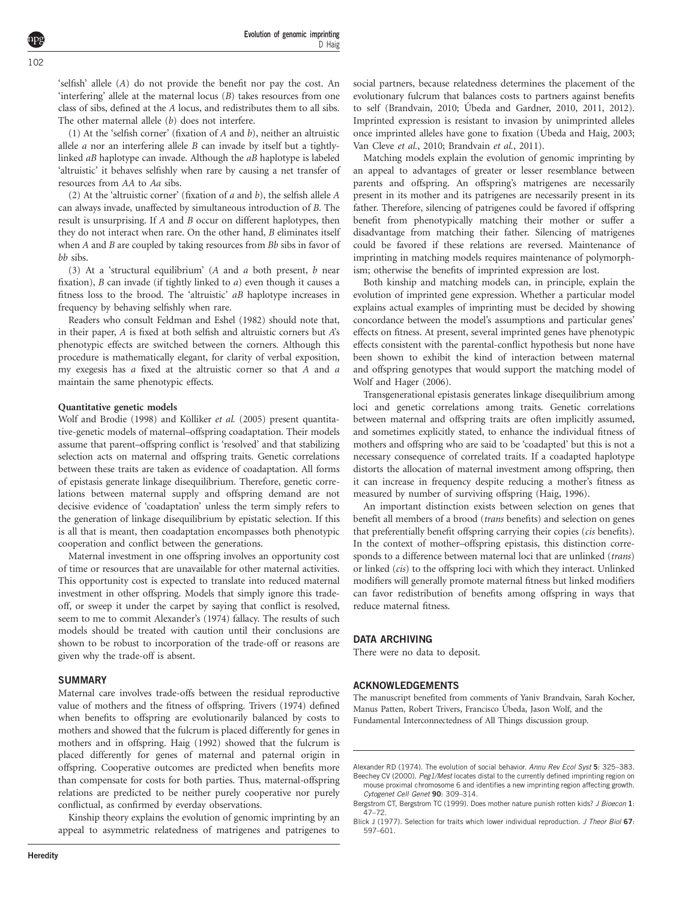<span id="page-6-0"></span>'selfish' allele (A) do not provide the benefit nor pay the cost. An 'interfering' allele at the maternal locus  $(B)$  takes resources from one class of sibs, defined at the A locus, and redistributes them to all sibs. The other maternal allele  $(b)$  does not interfere.

(1) At the 'selfish corner' (fixation of  $A$  and  $b$ ), neither an altruistic allele  $a$  nor an interfering allele  $B$  can invade by itself but a tightlylinked aB haplotype can invade. Although the aB haplotype is labeled 'altruistic' it behaves selfishly when rare by causing a net transfer of resources from AA to Aa sibs.

(2) At the 'altruistic corner' (fixation of  $a$  and  $b$ ), the selfish allele  $A$ can always invade, unaffected by simultaneous introduction of B. The result is unsurprising. If A and B occur on different haplotypes, then they do not interact when rare. On the other hand, B eliminates itself when  $A$  and  $B$  are coupled by taking resources from  $Bb$  sibs in favor of bb sibs.

(3) At a 'structural equilibrium' (A and  $a$  both present,  $b$  near fixation),  $B$  can invade (if tightly linked to  $a$ ) even though it causes a fitness loss to the brood. The 'altruistic' aB haplotype increases in frequency by behaving selfishly when rare.

Readers who consult [Feldman and Eshel \(1982\)](#page-7-0) should note that, in their paper, A is fixed at both selfish and altruistic corners but A's phenotypic effects are switched between the corners. Although this procedure is mathematically elegant, for clarity of verbal exposition, my exegesis has  $a$  fixed at the altruistic corner so that  $A$  and  $a$ maintain the same phenotypic effects.

#### Quantitative genetic models

[Wolf and Brodie \(1998](#page-7-0)) and Kölliker et al. (2005) present quantitative-genetic models of maternal–offspring coadaptation. Their models assume that parent–offspring conflict is 'resolved' and that stabilizing selection acts on maternal and offspring traits. Genetic correlations between these traits are taken as evidence of coadaptation. All forms of epistasis generate linkage disequilibrium. Therefore, genetic correlations between maternal supply and offspring demand are not decisive evidence of 'coadaptation' unless the term simply refers to the generation of linkage disequilibrium by epistatic selection. If this is all that is meant, then coadaptation encompasses both phenotypic cooperation and conflict between the generations.

Maternal investment in one offspring involves an opportunity cost of time or resources that are unavailable for other maternal activities. This opportunity cost is expected to translate into reduced maternal investment in other offspring. Models that simply ignore this tradeoff, or sweep it under the carpet by saying that conflict is resolved, seem to me to commit Alexander's (1974) fallacy. The results of such models should be treated with caution until their conclusions are shown to be robust to incorporation of the trade-off or reasons are given why the trade-off is absent.

## **SUMMARY**

Maternal care involves trade-offs between the residual reproductive value of mothers and the fitness of offspring. [Trivers \(1974\)](#page-7-0) defined when benefits to offspring are evolutionarily balanced by costs to mothers and showed that the fulcrum is placed differently for genes in mothers and in offspring. [Haig \(1992](#page-7-0)) showed that the fulcrum is placed differently for genes of maternal and paternal origin in offspring. Cooperative outcomes are predicted when benefits more than compensate for costs for both parties. Thus, maternal-offspring relations are predicted to be neither purely cooperative nor purely conflictual, as confirmed by everday observations.

Kinship theory explains the evolution of genomic imprinting by an appeal to asymmetric relatedness of matrigenes and patrigenes to social partners, because relatedness determines the placement of the evolutionary fulcrum that balances costs to partners against benefits to self [\(Brandvain, 2010;](#page-7-0) Ú[beda and Gardner, 2010, 2011, 2012](#page-7-0)). Imprinted expression is resistant to invasion by unimprinted alleles once imprinted alleles have gone to fixation (Ú[beda and Haig, 2003](#page-7-0); [Van Cleve](#page-7-0) et al., 2010; [Brandvain](#page-7-0) et al., 2011).

Matching models explain the evolution of genomic imprinting by an appeal to advantages of greater or lesser resemblance between parents and offspring. An offspring's matrigenes are necessarily present in its mother and its patrigenes are necessarily present in its father. Therefore, silencing of patrigenes could be favored if offspring benefit from phenotypically matching their mother or suffer a disadvantage from matching their father. Silencing of matrigenes could be favored if these relations are reversed. Maintenance of imprinting in matching models requires maintenance of polymorphism; otherwise the benefits of imprinted expression are lost.

Both kinship and matching models can, in principle, explain the evolution of imprinted gene expression. Whether a particular model explains actual examples of imprinting must be decided by showing concordance between the model's assumptions and particular genes' effects on fitness. At present, several imprinted genes have phenotypic effects consistent with the parental-conflict hypothesis but none have been shown to exhibit the kind of interaction between maternal and offspring genotypes that would support the matching model of [Wolf and Hager \(2006](#page-7-0)).

Transgenerational epistasis generates linkage disequilibrium among loci and genetic correlations among traits. Genetic correlations between maternal and offspring traits are often implicitly assumed, and sometimes explicitly stated, to enhance the individual fitness of mothers and offspring who are said to be 'coadapted' but this is not a necessary consequence of correlated traits. If a coadapted haplotype distorts the allocation of maternal investment among offspring, then it can increase in frequency despite reducing a mother's fitness as measured by number of surviving offspring [\(Haig, 1996](#page-7-0)).

An important distinction exists between selection on genes that benefit all members of a brood (trans benefits) and selection on genes that preferentially benefit offspring carrying their copies (cis benefits). In the context of mother–offspring epistasis, this distinction corresponds to a difference between maternal loci that are unlinked (trans) or linked (cis) to the offspring loci with which they interact. Unlinked modifiers will generally promote maternal fitness but linked modifiers can favor redistribution of benefits among offspring in ways that reduce maternal fitness.

#### DATA ARCHIVING

There were no data to deposit.

### ACKNOWLEDGEMENTS

The manuscript benefited from comments of Yaniv Brandvain, Sarah Kocher, Manus Patten, Robert Trivers, Francisco Úbeda, Jason Wolf, and the Fundamental Interconnectedness of All Things discussion group.

Alexander RD (1974). The evolution of social behavior. Annu Rev Ecol Syst 5: 325-383. Beechey CV (2000). Peg1/Mest locates distal to the currently defined imprinting region on mouse proximal chromosome 6 and identifies a new imprinting region affecting growth. Cytogenet Cell Genet 90: 309–314.

Bergstrom CT, Bergstrom TC (1999). Does mother nature punish rotten kids? J Bioecon 1: 47–72.

Blick J (1977). Selection for traits which lower individual reproduction. J Theor Biol 67: 597–601.